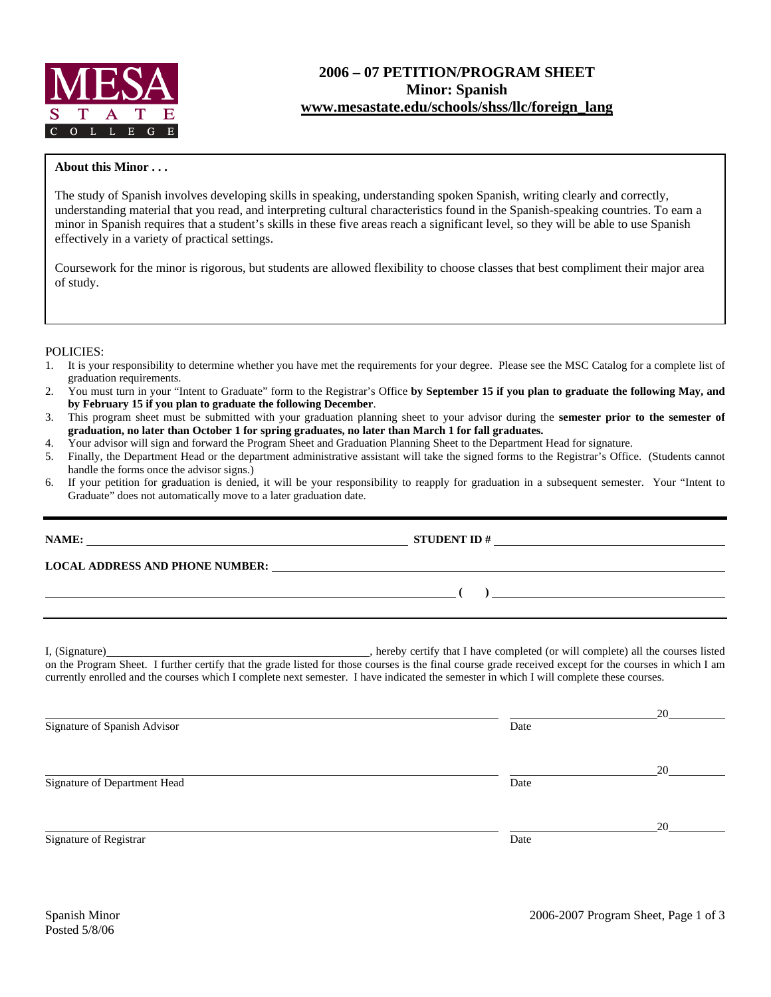

# **2006 – 07 PETITION/PROGRAM SHEET Minor: Spanish [www.mesastate.edu/schools/shss/llc/foreign\\_lang](http://www.mesastate.edu/schools/shss/llc/foreign_lang)**

#### **About this Minor . . .**

The study of Spanish involves developing skills in speaking, understanding spoken Spanish, writing clearly and correctly, understanding material that you read, and interpreting cultural characteristics found in the Spanish-speaking countries. To earn a minor in Spanish requires that a student's skills in these five areas reach a significant level, so they will be able to use Spanish effectively in a variety of practical settings.

Coursework for the minor is rigorous, but students are allowed flexibility to choose classes that best compliment their major area of study.

#### POLICIES:

- 1. It is your responsibility to determine whether you have met the requirements for your degree. Please see the MSC Catalog for a complete list of graduation requirements.
- 2. You must turn in your "Intent to Graduate" form to the Registrar's Office **by September 15 if you plan to graduate the following May, and by February 15 if you plan to graduate the following December**.
- 3. This program sheet must be submitted with your graduation planning sheet to your advisor during the **semester prior to the semester of graduation, no later than October 1 for spring graduates, no later than March 1 for fall graduates.**
- 4. Your advisor will sign and forward the Program Sheet and Graduation Planning Sheet to the Department Head for signature.<br>5. Finally, the Department Head or the department administrative assistant will take the signed fo
- 5. Finally, the Department Head or the department administrative assistant will take the signed forms to the Registrar's Office. (Students cannot handle the forms once the advisor signs.)
- 6. If your petition for graduation is denied, it will be your responsibility to reapply for graduation in a subsequent semester. Your "Intent to Graduate" does not automatically move to a later graduation date.

| NAME:                                  | STUDENT ID $#$ |  |  |
|----------------------------------------|----------------|--|--|
| <b>LOCAL ADDRESS AND PHONE NUMBER:</b> |                |  |  |
|                                        |                |  |  |
|                                        |                |  |  |
|                                        |                |  |  |

I, (Signature) , hereby certify that I have completed (or will complete) all the courses listed on the Program Sheet. I further certify that the grade listed for those courses is the final course grade received except for the courses in which I am currently enrolled and the courses which I complete next semester. I have indicated the semester in which I will complete these courses.

|                              |      | 20 |
|------------------------------|------|----|
| Signature of Spanish Advisor | Date |    |
|                              |      |    |
|                              |      | 20 |
| Signature of Department Head | Date |    |
|                              |      |    |
|                              |      | 20 |
| Signature of Registrar       | Date |    |
|                              |      |    |